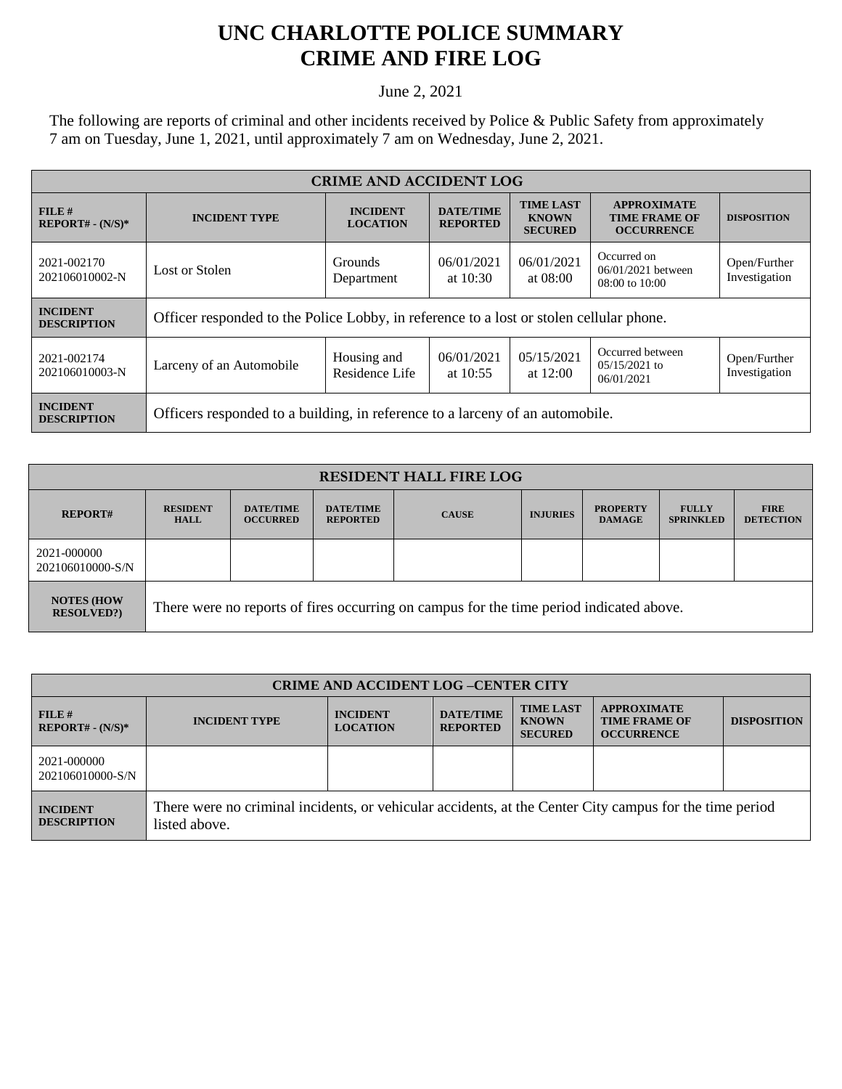## **UNC CHARLOTTE POLICE SUMMARY CRIME AND FIRE LOG**

June 2, 2021

The following are reports of criminal and other incidents received by Police & Public Safety from approximately 7 am on Tuesday, June 1, 2021, until approximately 7 am on Wednesday, June 2, 2021.

| <b>CRIME AND ACCIDENT LOG</b>         |                                                                                         |                               |                                     |                                                    |                                                                 |                               |  |
|---------------------------------------|-----------------------------------------------------------------------------------------|-------------------------------|-------------------------------------|----------------------------------------------------|-----------------------------------------------------------------|-------------------------------|--|
| FILE#<br>$REPORT# - (N/S)*$           | <b>INCIDENT</b><br><b>INCIDENT TYPE</b><br><b>LOCATION</b>                              |                               | <b>DATE/TIME</b><br><b>REPORTED</b> | <b>TIME LAST</b><br><b>KNOWN</b><br><b>SECURED</b> | <b>APPROXIMATE</b><br><b>TIME FRAME OF</b><br><b>OCCURRENCE</b> | <b>DISPOSITION</b>            |  |
| 2021-002170<br>202106010002-N         | Lost or Stolen                                                                          | <b>Grounds</b><br>Department  | 06/01/2021<br>at $10:30$            | 06/01/2021<br>at 08:00                             | Occurred on<br>06/01/2021 between<br>$08:00$ to $10:00$         | Open/Further<br>Investigation |  |
| <b>INCIDENT</b><br><b>DESCRIPTION</b> | Officer responded to the Police Lobby, in reference to a lost or stolen cellular phone. |                               |                                     |                                                    |                                                                 |                               |  |
| 2021-002174<br>202106010003-N         | Larceny of an Automobile                                                                | Housing and<br>Residence Life | 06/01/2021<br>at $10:55$            | 05/15/2021<br>at $12:00$                           | Occurred between<br>$0.5/15/2021$ to<br>06/01/2021              | Open/Further<br>Investigation |  |
| <b>INCIDENT</b><br><b>DESCRIPTION</b> | Officers responded to a building, in reference to a larceny of an automobile.           |                               |                                     |                                                    |                                                                 |                               |  |

| <b>RESIDENT HALL FIRE LOG</b>         |                                                                                         |                                     |                                     |              |                 |                                  |                                  |                                 |
|---------------------------------------|-----------------------------------------------------------------------------------------|-------------------------------------|-------------------------------------|--------------|-----------------|----------------------------------|----------------------------------|---------------------------------|
| <b>REPORT#</b>                        | <b>RESIDENT</b><br><b>HALL</b>                                                          | <b>DATE/TIME</b><br><b>OCCURRED</b> | <b>DATE/TIME</b><br><b>REPORTED</b> | <b>CAUSE</b> | <b>INJURIES</b> | <b>PROPERTY</b><br><b>DAMAGE</b> | <b>FULLY</b><br><b>SPRINKLED</b> | <b>FIRE</b><br><b>DETECTION</b> |
| 2021-000000<br>202106010000-S/N       |                                                                                         |                                     |                                     |              |                 |                                  |                                  |                                 |
| <b>NOTES (HOW</b><br><b>RESOLVED?</b> | There were no reports of fires occurring on campus for the time period indicated above. |                                     |                                     |              |                 |                                  |                                  |                                 |

| <b>CRIME AND ACCIDENT LOG-CENTER CITY</b> |                                                                                                                          |                                    |                                     |                                                    |                                                                 |                    |
|-------------------------------------------|--------------------------------------------------------------------------------------------------------------------------|------------------------------------|-------------------------------------|----------------------------------------------------|-----------------------------------------------------------------|--------------------|
| $FILE$ #<br>$REPORT# - (N/S)*$            | <b>INCIDENT TYPE</b>                                                                                                     | <b>INCIDENT</b><br><b>LOCATION</b> | <b>DATE/TIME</b><br><b>REPORTED</b> | <b>TIME LAST</b><br><b>KNOWN</b><br><b>SECURED</b> | <b>APPROXIMATE</b><br><b>TIME FRAME OF</b><br><b>OCCURRENCE</b> | <b>DISPOSITION</b> |
| 2021-000000<br>202106010000-S/N           |                                                                                                                          |                                    |                                     |                                                    |                                                                 |                    |
| <b>INCIDENT</b><br><b>DESCRIPTION</b>     | There were no criminal incidents, or vehicular accidents, at the Center City campus for the time period<br>listed above. |                                    |                                     |                                                    |                                                                 |                    |